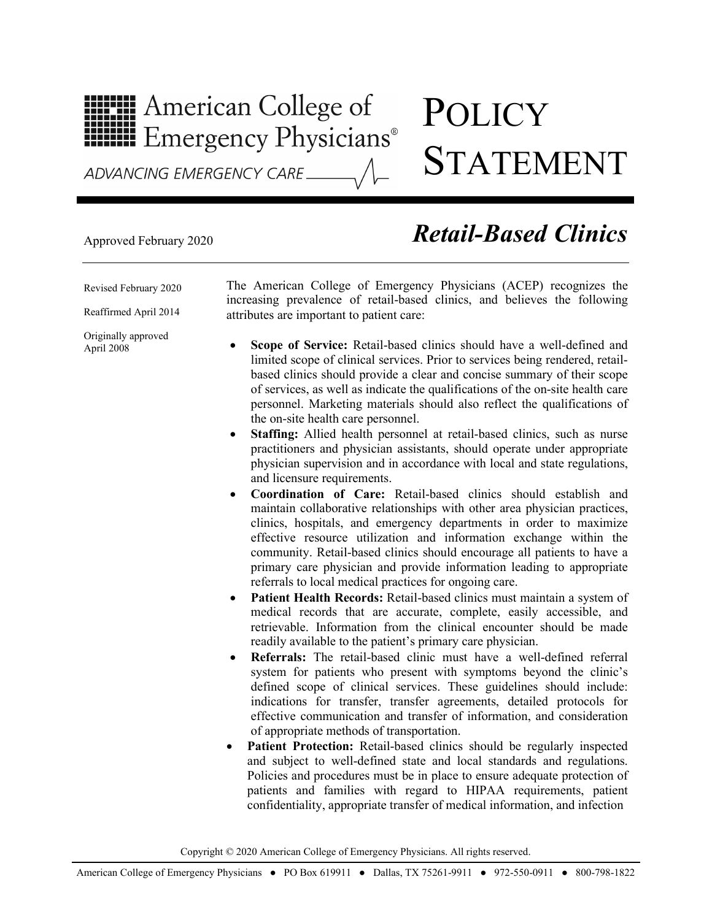## **HILLE** American College of **HILLE** Emergency Physicians®

## **POLICY** STATEMENT

## Approved February 2020 *Retail-Based Clinics*

Revised February 2020

Reaffirmed April 2014

Originally approved April 2008

The American College of Emergency Physicians (ACEP) recognizes the increasing prevalence of retail-based clinics, and believes the following attributes are important to patient care:

- **Scope of Service:** Retail-based clinics should have a well-defined and limited scope of clinical services. Prior to services being rendered, retailbased clinics should provide a clear and concise summary of their scope of services, as well as indicate the qualifications of the on-site health care personnel. Marketing materials should also reflect the qualifications of the on-site health care personnel.
- **Staffing:** Allied health personnel at retail-based clinics, such as nurse practitioners and physician assistants, should operate under appropriate physician supervision and in accordance with local and state regulations, and licensure requirements.
- **Coordination of Care:** Retail-based clinics should establish and maintain collaborative relationships with other area physician practices, clinics, hospitals, and emergency departments in order to maximize effective resource utilization and information exchange within the community. Retail-based clinics should encourage all patients to have a primary care physician and provide information leading to appropriate referrals to local medical practices for ongoing care.
- **Patient Health Records:** Retail-based clinics must maintain a system of medical records that are accurate, complete, easily accessible, and retrievable. Information from the clinical encounter should be made readily available to the patient's primary care physician.
- **Referrals:** The retail-based clinic must have a well-defined referral system for patients who present with symptoms beyond the clinic's defined scope of clinical services. These guidelines should include: indications for transfer, transfer agreements, detailed protocols for effective communication and transfer of information, and consideration of appropriate methods of transportation.
- Patient Protection: Retail-based clinics should be regularly inspected and subject to well-defined state and local standards and regulations. Policies and procedures must be in place to ensure adequate protection of patients and families with regard to HIPAA requirements, patient confidentiality, appropriate transfer of medical information, and infection

Copyright © 2020 American College of Emergency Physicians. All rights reserved.